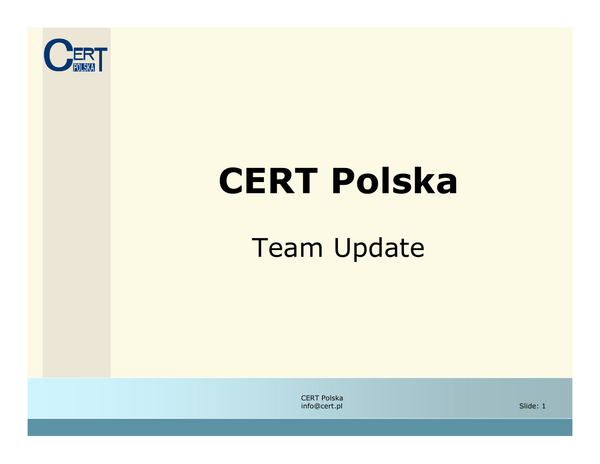

# CERT Polska

#### Team Update

CERT Polskainfo@cert.pl

l 1996 - Slide: 1996 - 1997 - 1998 - 1999 - 1999 - 1999 - 1999 - 1999 - 1999 - 1999 - 1999 - 1999 - 1999 - 19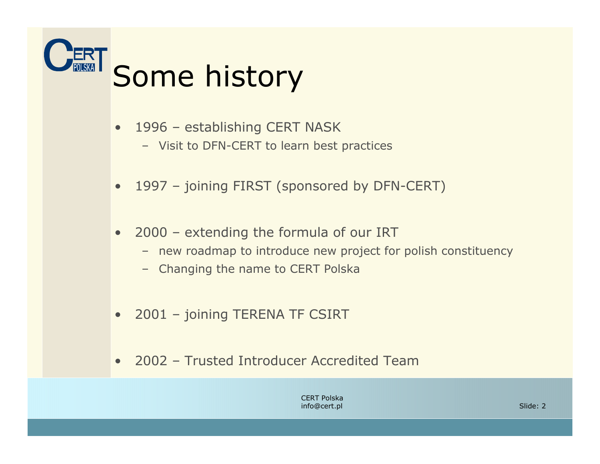

- • 1996 – establishing CERT NASK
	- Visit to DFN-CERT to learn best practices
- •1997 – joining FIRST (sponsored by DFN-CERT)
- • 2000 – extending the formula of our IRT
	- new roadmap to introduce new project for polish constituency
	- Changing the name to CERT Polska
- •2001 – joining TERENA TF CSIRT
- •2002 – Trusted Introducer Accredited Team

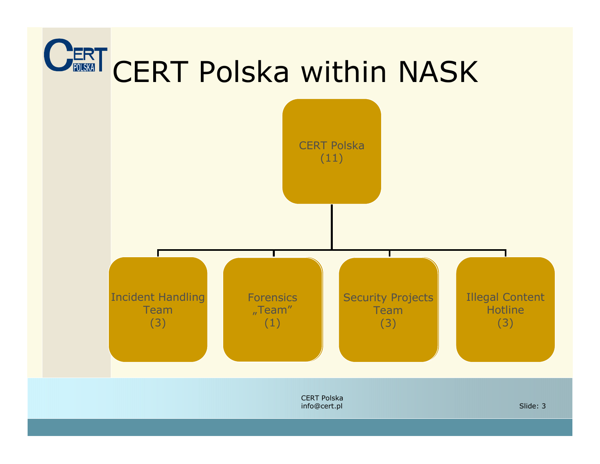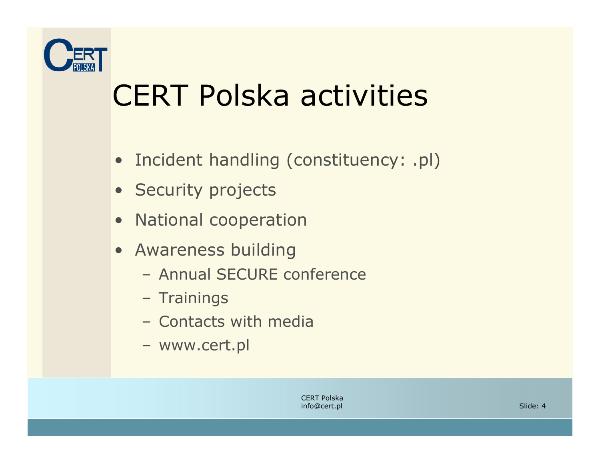

#### CERT Polska activities

- Incident handling (constituency: .pl)
- Security projects
- National cooperation
- **Awareness building**<br>Annual SEGURE of
	- Annual SECURE conference
	- Trainings
	- Contacts with media
	- www.cert.pl

CERT Polskainfo@cert.pl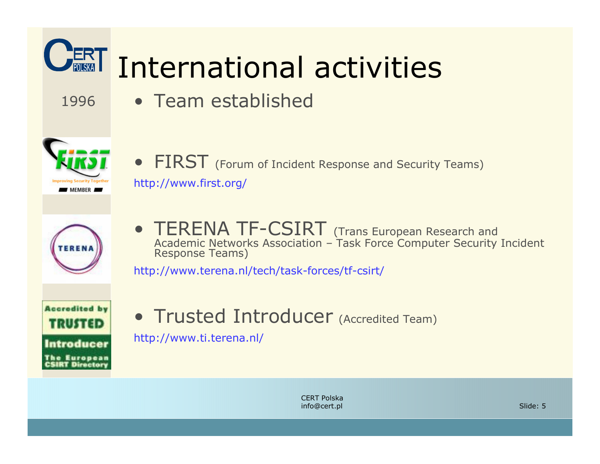

CERT Polskainfo@cert.pl

l Slide: 5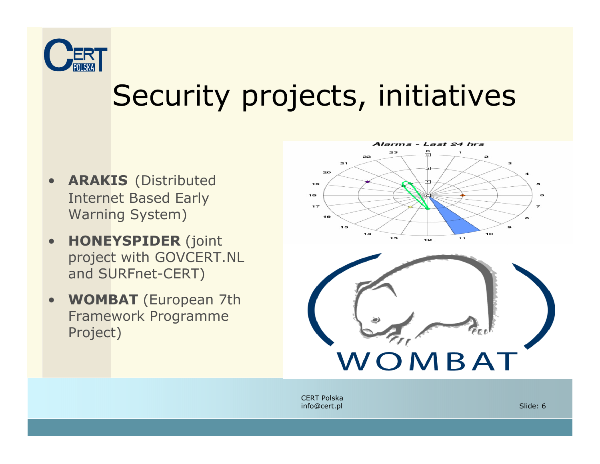

## Security projects, initiatives

- •• **ARAKIS** (Distributed Internet Based Early Warning System)
- •**HONEYSPIDER** (joint project with GOVCERT.NL and SURFnet-CERT)
- $\bullet$ **WOMBAT** (European 7th Framework Programme Project)



CERT Polskainfo@cert.pl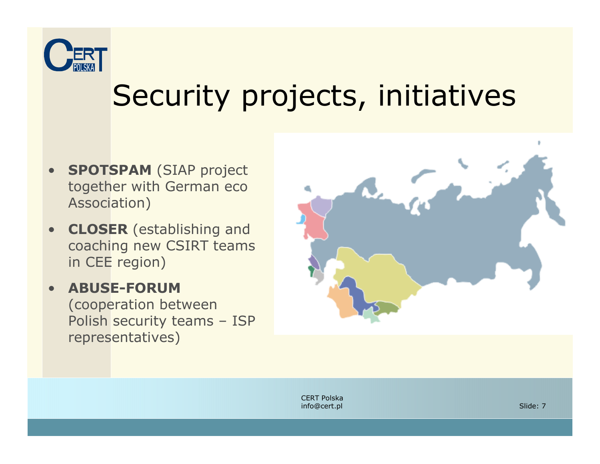

## Security projects, initiatives

- •**SPOTSPAM (SIAP project** together with German eco Association)
- • CLOSER (establishing and coaching new CSIRT teams in CEE region)
- $\bullet$  ABUSE-FORUM(cooperation between<br>Polish security teams Polish security teams – ISP representatives)



CERT Polskainfo@cert.pl